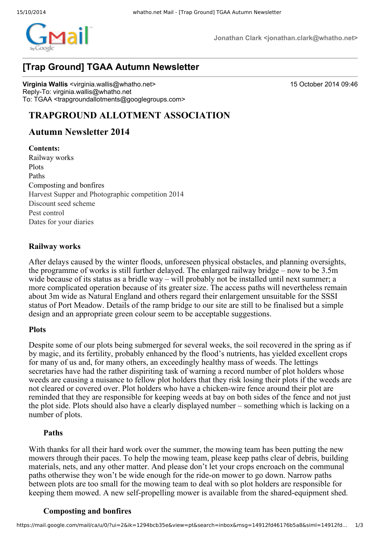

**Jonathan Clark <jonathan.clark@whatho.net>**

# **[Trap Ground] TGAA Autumn Newsletter**

**Virginia Wallis** <virginia.wallis@whatho.net> 15 October 2014 09:46 Reply-To: virginia.wallis@whatho.net To: TGAA <trapgroundallotments@googlegroups.com>

# **TRAPGROUND ALLOTMENT ASSOCIATION**

## **Autumn Newsletter 2014**

#### **Contents:**

Railway works Plots Paths Composting and bonfires Harvest Supper and Photographic competition 2014 Discount seed scheme Pest control Dates for your diaries

### **Railway works**

After delays caused by the winter floods, unforeseen physical obstacles, and planning oversights, the programme of works is still further delayed. The enlarged railway bridge – now to be 3.5m wide because of its status as a bridle way – will probably not be installed until next summer; a more complicated operation because of its greater size. The access paths will nevertheless remain about 3m wide as Natural England and others regard their enlargement unsuitable for the SSSI status of Port Meadow. Details of the ramp bridge to our site are still to be finalised but a simple design and an appropriate green colour seem to be acceptable suggestions.

#### **Plots**

Despite some of our plots being submerged for several weeks, the soil recovered in the spring as if by magic, and its fertility, probably enhanced by the flood's nutrients, has yielded excellent crops for many of us and, for many others, an exceedingly healthy mass of weeds. The lettings secretaries have had the rather dispiriting task of warning a record number of plot holders whose weeds are causing a nuisance to fellow plot holders that they risk losing their plots if the weeds are not cleared or covered over. Plot holders who have a chicken-wire fence around their plot are reminded that they are responsible for keeping weeds at bay on both sides of the fence and not just the plot side. Plots should also have a clearly displayed number – something which is lacking on a number of plots.

### **Paths**

With thanks for all their hard work over the summer, the mowing team has been putting the new mowers through their paces. To help the mowing team, please keep paths clear of debris, building materials, nets, and any other matter. And please don't let your crops encroach on the communal paths otherwise they won't be wide enough for the ride-on mower to go down. Narrow paths between plots are too small for the mowing team to deal with so plot holders are responsible for keeping them mowed. A new self-propelling mower is available from the shared-equipment shed.

### **Composting and bonfires**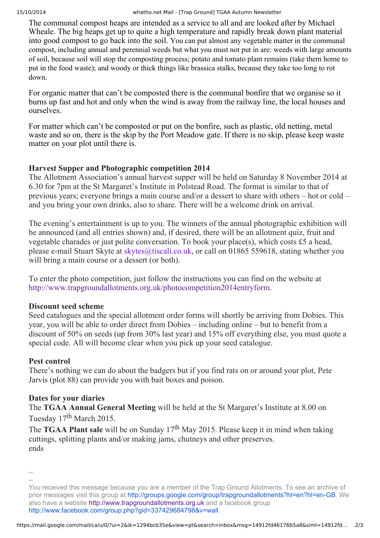The communal compost heaps are intended as a service to all and are looked after by Michael Wheale. The big heaps get up to quite a high temperature and rapidly break down plant material into good compost to go back into the soil. You can put almost any vegetable matter in the communal compost, including annual and perennial weeds but what you must not put in are: weeds with large amounts of soil, because soil will stop the composting process; potato and tomato plant remains (take them home to put in the food waste); and woody or thick things like brassica stalks, because they take too long to rot down.

For organic matter that can't be composted there is the communal bonfire that we organise so it burns up fast and hot and only when the wind is away from the railway line, the local houses and ourselves.

For matter which can't be composted or put on the bonfire, such as plastic, old netting, metal waste and so on, there is the skip by the Port Meadow gate. If there is no skip, please keep waste matter on your plot until there is.

## **Harvest Supper and Photographic competition 2014**

The Allotment Association's annual harvest supper will be held on Saturday 8 November 2014 at 6.30 for 7pm at the St Margaret's Institute in Polstead Road. The format is similar to that of previous years; everyone brings a main course and/or a dessert to share with others – hot or cold – and you bring your own drinks, also to share. There will be a welcome drink on arrival.

The evening's entertainment is up to you. The winners of the annual photographic exhibition will be announced (and all entries shown) and, if desired, there will be an allotment quiz, fruit and vegetable charades or just polite conversation. To book your place(s), which costs £5 a head, please email Stuart Skyte at skytes@tiscali.co.uk, or call on 01865 559618, stating whether you will bring a main course or a dessert (or both).

To enter the photo competition, just follow the instructions you can find on the website at http://www.trapgroundallotments.org.uk/photocompetition2014entryform.

## **Discount seed scheme**

Seed catalogues and the special allotment order forms will shortly be arriving from Dobies. This year, you will be able to order direct from Dobies – including online – but to benefit from a discount of 50% on seeds (up from 30% last year) and 15% off everything else, you must quote a special code. All will become clear when you pick up your seed catalogue.

## **Pest control**

There's nothing we can do about the badgers but if you find rats on or around your plot, Pete Jarvis (plot 88) can provide you with bait boxes and poison.

## **Dates for your diaries**

The **TGAA Annual General Meeting** will be held at the St Margaret's Institute at 8.00 on Tuesday 17<sup>th</sup> March 2015.

The **TGAA Plant sale** will be on Sunday 17 th May 2015. Please keep it in mind when taking cuttings, splitting plants and/or making jams, chutneys and other preserves. ends

----

You received this message because you are a member of the Trap Ground Allotments. To see an archive of prior messages visit this group at http://groups.google.com/group/trapgroundallotments?hl=en?hl=enGB. We also have a website http://www.trapgroundallotments.org.uk and a facebook group http://www.facebook.com/group.php?gid=337429684798&v=wall.